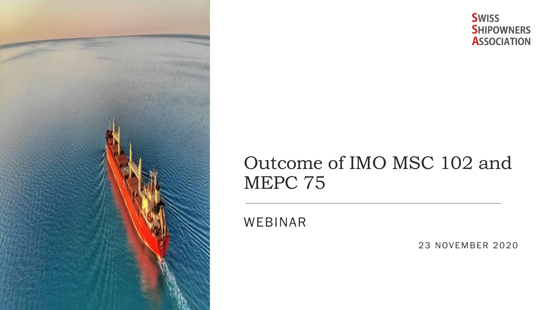

### **SWISS SHIPOWNERS ASSOCIATION**

### Outcome of IMO MSC 102 and MEPC 75

WEBINAR

23 NOVEMBER 2020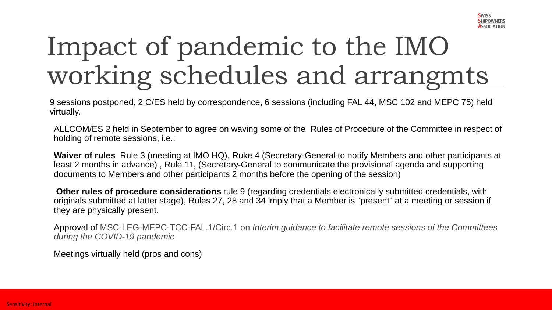# Impact of pandemic to the IMO working schedules and arrangmts

9 sessions postponed, 2 C/ES held by correspondence, 6 sessions (including FAL 44, MSC 102 and MEPC 75) held virtually.

ALLCOM/ES 2 held in September to agree on waving some of the Rules of Procedure of the Committee in respect of holding of remote sessions, i.e.:

**Waiver of rules** Rule 3 (meeting at IMO HQ), Ruke 4 (Secretary-General to notify Members and other participants at least 2 months in advance) , Rule 11, (Secretary-General to communicate the provisional agenda and supporting documents to Members and other participants 2 months before the opening of the session)

**Other rules of procedure considerations** rule 9 (regarding credentials electronically submitted credentials, with originals submitted at latter stage), Rules 27, 28 and 34 imply that a Member is "present" at a meeting or session if they are physically present.

Approval of MSC-LEG-MEPC-TCC-FAL.1/Circ.1 on *Interim guidance to facilitate remote sessions of the Committees during the COVID-19 pandemic*

Meetings virtually held (pros and cons)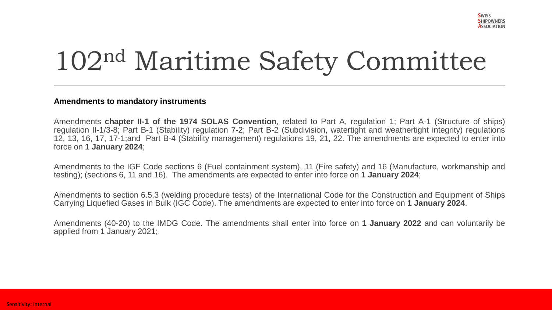### 102nd Maritime Safety Committee

#### **Amendments to mandatory instruments**

Amendments **chapter II-1 of the 1974 SOLAS Convention**, related to Part A, regulation 1; Part A-1 (Structure of ships) regulation II-1/3-8; Part B-1 (Stability) regulation 7-2; Part B-2 (Subdivision, watertight and weathertight integrity) regulations 12, 13, 16, 17, 17-1;and Part B-4 (Stability management) regulations 19, 21, 22. The amendments are expected to enter into force on **1 January 2024**;

Amendments to the IGF Code sections 6 (Fuel containment system), 11 (Fire safety) and 16 (Manufacture, workmanship and testing); (sections 6, 11 and 16). The amendments are expected to enter into force on **1 January 2024**;

Amendments to section 6.5.3 (welding procedure tests) of the International Code for the Construction and Equipment of Ships Carrying Liquefied Gases in Bulk (IGC Code). The amendments are expected to enter into force on **1 January 2024**.

Amendments (40-20) to the IMDG Code. The amendments shall enter into force on **1 January 2022** and can voluntarily be applied from 1 January 2021;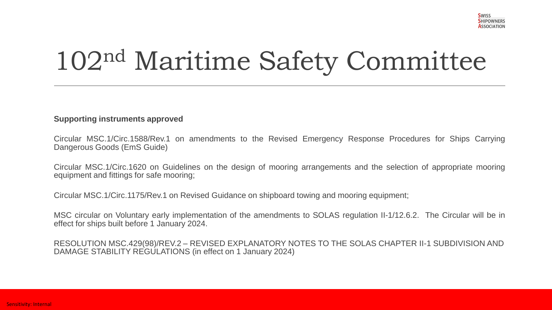### 102nd Maritime Safety Committee

#### **Supporting instruments approved**

Circular MSC.1/Circ.1588/Rev.1 on amendments to the Revised Emergency Response Procedures for Ships Carrying Dangerous Goods (EmS Guide)

Circular MSC.1/Circ.1620 on Guidelines on the design of mooring arrangements and the selection of appropriate mooring equipment and fittings for safe mooring;

Circular MSC.1/Circ.1175/Rev.1 on Revised Guidance on shipboard towing and mooring equipment;

MSC circular on Voluntary early implementation of the amendments to SOLAS regulation II-1/12.6.2. The Circular will be in effect for ships built before 1 January 2024.

RESOLUTION MSC.429(98)/REV.2 – REVISED EXPLANATORY NOTES TO THE SOLAS CHAPTER II-1 SUBDIVISION AND DAMAGE STABILITY REGULATIONS (in effect on 1 January 2024)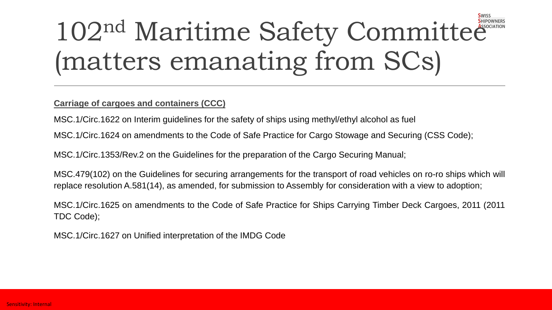# 102nd Maritime Safety Committee (matters emanating from SCs)

#### **Carriage of cargoes and containers (CCC)**

MSC.1/Circ.1622 on Interim guidelines for the safety of ships using methyl/ethyl alcohol as fuel

MSC.1/Circ.1624 on amendments to the Code of Safe Practice for Cargo Stowage and Securing (CSS Code);

MSC.1/Circ.1353/Rev.2 on the Guidelines for the preparation of the Cargo Securing Manual;

MSC.479(102) on the Guidelines for securing arrangements for the transport of road vehicles on ro-ro ships which will replace resolution A.581(14), as amended, for submission to Assembly for consideration with a view to adoption;

MSC.1/Circ.1625 on amendments to the Code of Safe Practice for Ships Carrying Timber Deck Cargoes, 2011 (2011 TDC Code);

MSC.1/Circ.1627 on Unified interpretation of the IMDG Code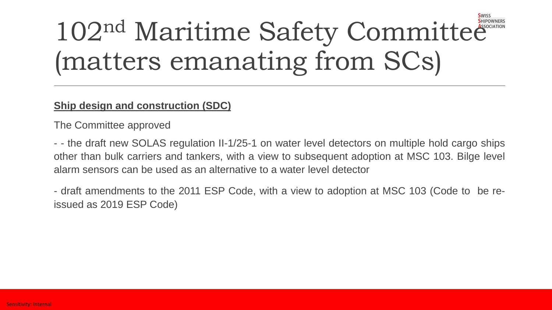### **S**wiss 102nd Maritime Safety Committee (matters emanating from SCs)

### **Ship design and construction (SDC)**

The Committee approved

- - the draft new SOLAS regulation II-1/25-1 on water level detectors on multiple hold cargo ships other than bulk carriers and tankers, with a view to subsequent adoption at MSC 103. Bilge level alarm sensors can be used as an alternative to a water level detector

- draft amendments to the 2011 ESP Code, with a view to adoption at MSC 103 (Code to be reissued as 2019 ESP Code)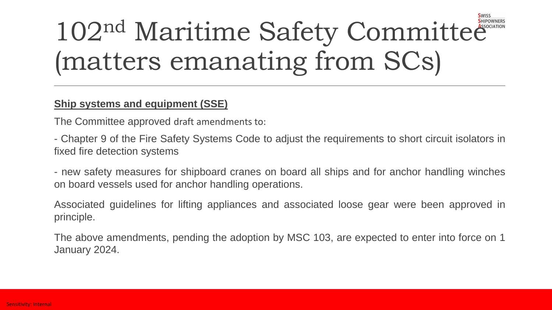# 102nd Maritime Safety Committee (matters emanating from SCs)

### **Ship systems and equipment (SSE)**

The Committee approved draft amendments to:

- Chapter 9 of the Fire Safety Systems Code to adjust the requirements to short circuit isolators in fixed fire detection systems

- new safety measures for shipboard cranes on board all ships and for anchor handling winches on board vessels used for anchor handling operations.

Associated guidelines for lifting appliances and associated loose gear were been approved in principle.

The above amendments, pending the adoption by MSC 103, are expected to enter into force on 1 January 2024.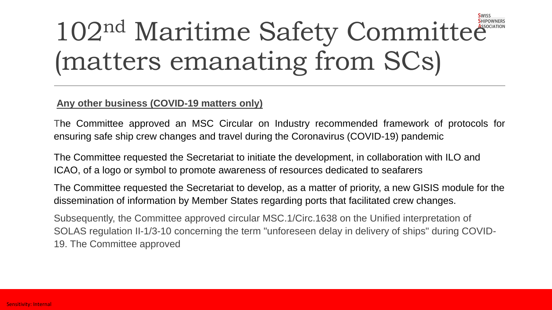### **S**wiss 102nd Maritime Safety Committee (matters emanating from SCs)

#### **Any other business (COVID-19 matters only)**

The Committee approved an MSC Circular on Industry recommended framework of protocols for ensuring safe ship crew changes and travel during the Coronavirus (COVID-19) pandemic

The Committee requested the Secretariat to initiate the development, in collaboration with ILO and ICAO, of a logo or symbol to promote awareness of resources dedicated to seafarers

The Committee requested the Secretariat to develop, as a matter of priority, a new GISIS module for the dissemination of information by Member States regarding ports that facilitated crew changes.

Subsequently, the Committee approved circular MSC.1/Circ.1638 on the Unified interpretation of SOLAS regulation II-1/3-10 concerning the term "unforeseen delay in delivery of ships" during COVID-19. The Committee approved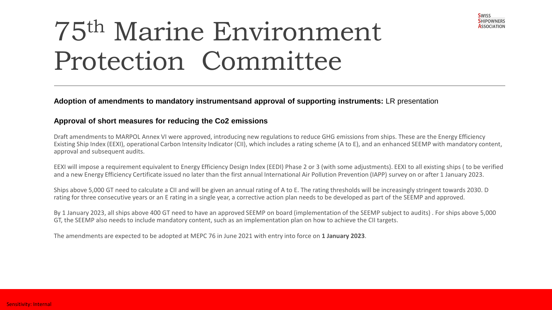**Adoption of amendments to mandatory instrumentsand approval of supporting instruments:** LR presentation

#### **Approval of short measures for reducing the Co2 emissions**

Draft amendments to MARPOL Annex VI were approved, introducing new regulations to reduce GHG emissions from ships. These are the Energy Efficiency Existing Ship Index (EEXI), operational Carbon Intensity Indicator (CII), which includes a rating scheme (A to E), and an enhanced SEEMP with mandatory content, approval and subsequent audits.

EEXI will impose a requirement equivalent to Energy Efficiency Design Index (EEDI) Phase 2 or 3 (with some adjustments). EEXI to all existing ships ( to be verified and a new Energy Efficiency Certificate issued no later than the first annual International Air Pollution Prevention (IAPP) survey on or after 1 January 2023.

Ships above 5,000 GT need to calculate a CII and will be given an annual rating of A to E. The rating thresholds will be increasingly stringent towards 2030. D rating for three consecutive years or an E rating in a single year, a corrective action plan needs to be developed as part of the SEEMP and approved.

By 1 January 2023, all ships above 400 GT need to have an approved SEEMP on board (implementation of the SEEMP subject to audits) . For ships above 5,000 GT, the SEEMP also needs to include mandatory content, such as an implementation plan on how to achieve the CII targets.

The amendments are expected to be adopted at MEPC 76 in June 2021 with entry into force on **1 January 2023**.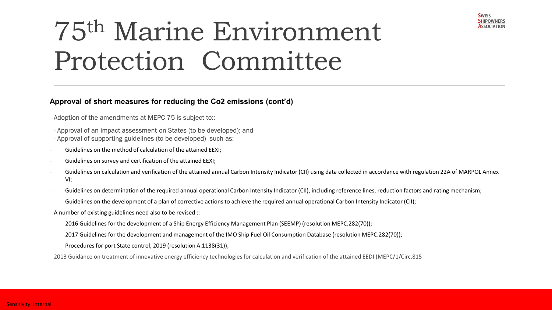#### **Approval of short measures for reducing the Co2 emissions (cont'd)**

Adoption of the amendments at MEPC 75 is subject to::

- Approval of an impact assessment on States (to be developed); and
- Approval of supporting guidelines (to be developed) such as:
- Guidelines on the method of calculation of the attained EEXI;
- Guidelines on survey and certification of the attained EEXI;
- Guidelines on calculation and verification of the attained annual Carbon Intensity Indicator (CII) using data collected in accordance with regulation 22A of MARPOL Annex VI;
- Guidelines on determination of the required annual operational Carbon Intensity Indicator (CII), including reference lines, reduction factors and rating mechanism;
- Guidelines on the development of a plan of corrective actions to achieve the required annual operational Carbon Intensity Indicator (CII);
- A number of existing guidelines need also to be revised ::
- 2016 Guidelines for the development of a Ship Energy Efficiency Management Plan (SEEMP) (resolution MEPC.282(70));
- 2017 Guidelines for the development and management of the IMO Ship Fuel Oil Consumption Database (resolution MEPC.282(70));
- Procedures for port State control, 2019 (resolution A.1138(31));
- 2013 Guidance on treatment of innovative energy efficiency technologies for calculation and verification of the attained EEDI (MEPC/1/Circ.815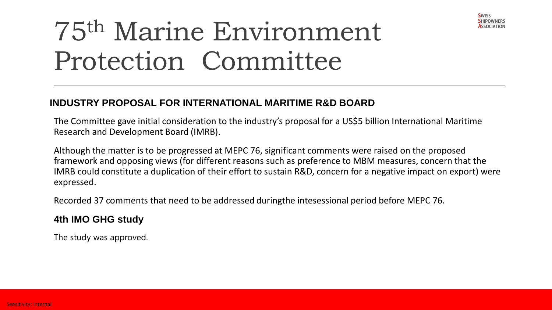#### **INDUSTRY PROPOSAL FOR INTERNATIONAL MARITIME R&D BOARD**

The Committee gave initial consideration to the industry's proposal for a US\$5 billion International Maritime Research and Development Board (IMRB).

Although the matter is to be progressed at MEPC 76, significant comments were raised on the proposed framework and opposing views (for different reasons such as preference to MBM measures, concern that the IMRB could constitute a duplication of their effort to sustain R&D, concern for a negative impact on export) were expressed.

Recorded 37 comments that need to be addressed duringthe intesessional period before MEPC 76.

### **4th IMO GHG study**

The study was approved.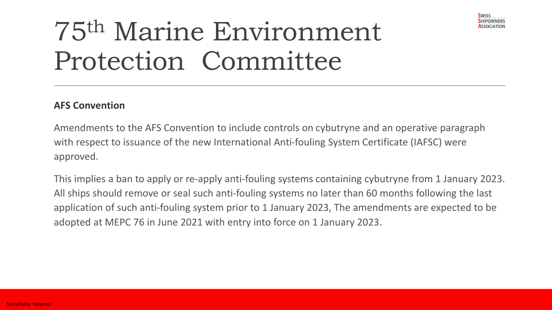#### **AFS Convention**

Amendments to the AFS Convention to include controls on cybutryne and an operative paragraph with respect to issuance of the new International Anti-fouling System Certificate (IAFSC) were approved.

This implies a ban to apply or re-apply anti-fouling systems containing cybutryne from 1 January 2023. All ships should remove or seal such anti-fouling systems no later than 60 months following the last application of such anti-fouling system prior to 1 January 2023, The amendments are expected to be adopted at MEPC 76 in June 2021 with entry into force on 1 January 2023.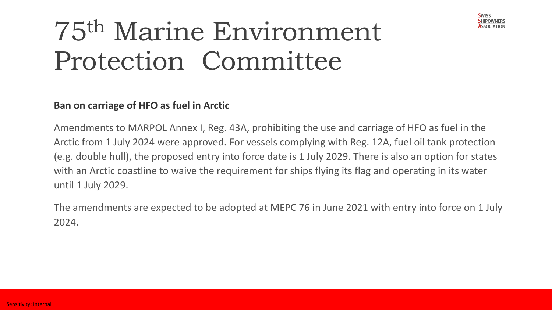#### **Ban on carriage of HFO as fuel in Arctic**

Amendments to MARPOL Annex I, Reg. 43A, prohibiting the use and carriage of HFO as fuel in the Arctic from 1 July 2024 were approved. For vessels complying with Reg. 12A, fuel oil tank protection (e.g. double hull), the proposed entry into force date is 1 July 2029. There is also an option for states with an Arctic coastline to waive the requirement for ships flying its flag and operating in its water until 1 July 2029.

The amendments are expected to be adopted at MEPC 76 in June 2021 with entry into force on 1 July 2024.